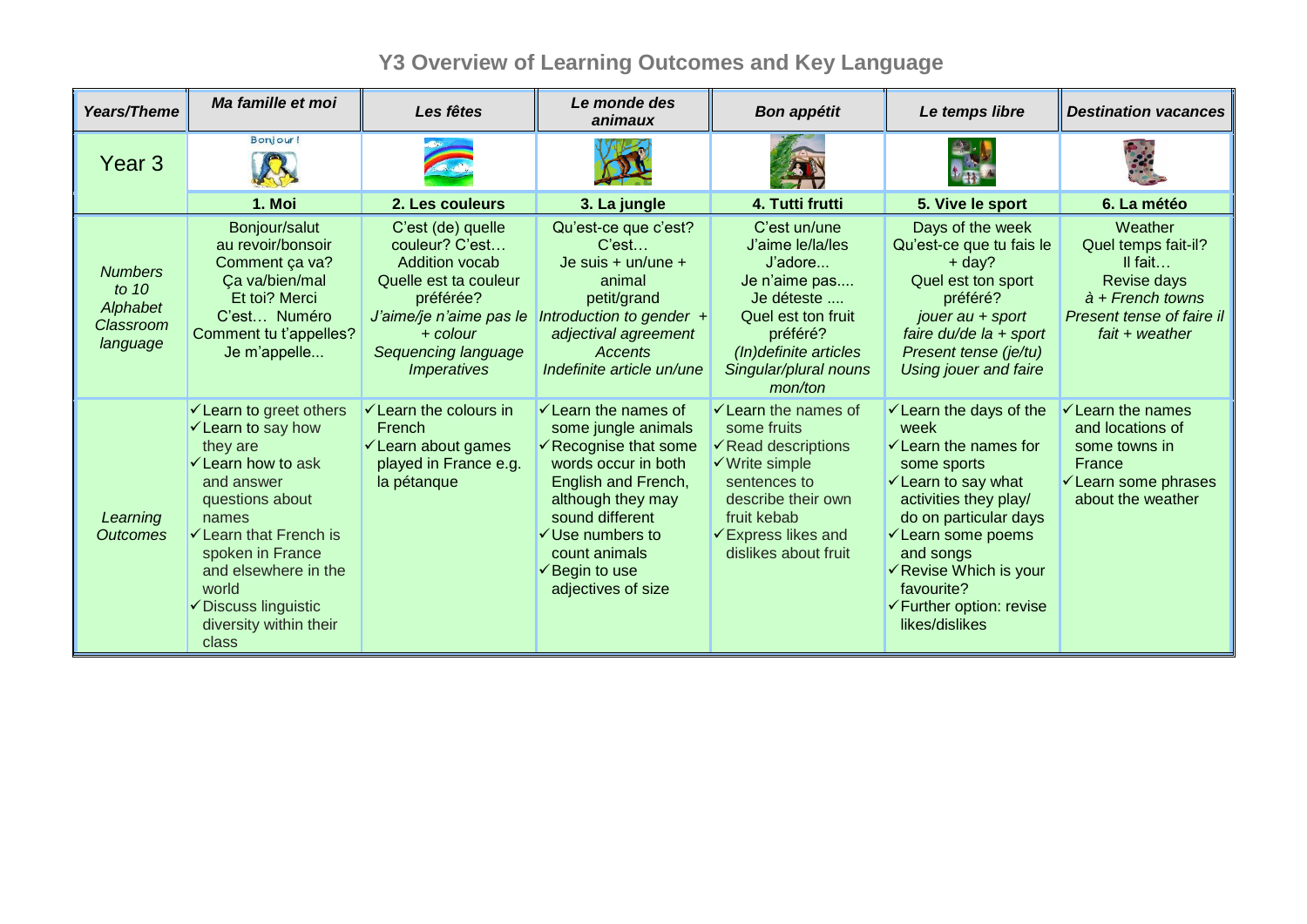## **Y3 Overview of Learning Outcomes and Key Language**

| Years/Theme                                                    | Ma famille et moi                                                                                                                                                                                                                                                                         | Les fêtes                                                                                                                                                                                | Le monde des<br>animaux                                                                                                                                                                                                                                                             | <b>Bon appétit</b>                                                                                                                                                                                                           | Le temps libre                                                                                                                                                                                                                                                                                                         | <b>Destination vacances</b>                                                                                                                     |
|----------------------------------------------------------------|-------------------------------------------------------------------------------------------------------------------------------------------------------------------------------------------------------------------------------------------------------------------------------------------|------------------------------------------------------------------------------------------------------------------------------------------------------------------------------------------|-------------------------------------------------------------------------------------------------------------------------------------------------------------------------------------------------------------------------------------------------------------------------------------|------------------------------------------------------------------------------------------------------------------------------------------------------------------------------------------------------------------------------|------------------------------------------------------------------------------------------------------------------------------------------------------------------------------------------------------------------------------------------------------------------------------------------------------------------------|-------------------------------------------------------------------------------------------------------------------------------------------------|
| Year <sub>3</sub>                                              | Bonjour!                                                                                                                                                                                                                                                                                  |                                                                                                                                                                                          |                                                                                                                                                                                                                                                                                     |                                                                                                                                                                                                                              |                                                                                                                                                                                                                                                                                                                        |                                                                                                                                                 |
|                                                                | 1. Moi                                                                                                                                                                                                                                                                                    | 2. Les couleurs                                                                                                                                                                          | 3. La jungle                                                                                                                                                                                                                                                                        | 4. Tutti frutti                                                                                                                                                                                                              | 5. Vive le sport                                                                                                                                                                                                                                                                                                       | 6. La météo                                                                                                                                     |
| <b>Numbers</b><br>to $10$<br>Alphabet<br>Classroom<br>language | Bonjour/salut<br>au revoir/bonsoir<br>Comment ça va?<br>Ça va/bien/mal<br>Et toi? Merci<br>C'est Numéro<br>Comment tu t'appelles?<br>Je m'appelle                                                                                                                                         | C'est (de) quelle<br>couleur? C'est<br>Addition vocab<br>Quelle est ta couleur<br>préférée?<br>J'aime/je n'aime pas le<br>$+$ colour<br>Sequencing language<br><i><b>Imperatives</b></i> | Qu'est-ce que c'est?<br>C'est<br>Je suis $+$ un/une $+$<br>animal<br>petit/grand<br>Introduction to gender $+$<br>adjectival agreement<br>Accents<br>Indefinite article un/une                                                                                                      | C'est un/une<br>J'aime le/la/les<br>J'adore<br>Je n'aime pas<br>Je déteste<br>Quel est ton fruit<br>préféré?<br>(In)definite articles<br>Singular/plural nouns<br>mon/ton                                                    | Days of the week<br>Qu'est-ce que tu fais le<br>$+$ day?<br>Quel est ton sport<br>préféré?<br>jouer au + sport<br>faire du/de $la + sport$<br>Present tense (je/tu)<br>Using jouer and faire                                                                                                                           | Weather<br>Quel temps fait-il?<br>$II$ fait<br>Revise days<br>$\dot{a}$ + French towns<br>Present tense of faire il<br>$f$ ait + weather        |
| Learning<br><b>Outcomes</b>                                    | ← Learn to greet others<br>$\checkmark$ Learn to say how<br>they are<br>$\checkmark$ Learn how to ask<br>and answer<br>questions about<br>names<br>└ Learn that French is<br>spoken in France<br>and elsewhere in the<br>world<br>✔ Discuss linguistic<br>diversity within their<br>class | <del>✓</del> Learn the colours in<br>French<br><del></del> <del>∕</del> Learn about games<br>played in France e.g.<br>la pétanque                                                        | $\checkmark$ Learn the names of<br>some jungle animals<br>$\checkmark$ Recognise that some<br>words occur in both<br>English and French,<br>although they may<br>sound different<br>$\checkmark$ Use numbers to<br>count animals<br>$\checkmark$ Begin to use<br>adjectives of size | $\checkmark$ Learn the names of<br>some fruits<br>$\checkmark$ Read descriptions<br>$\checkmark$ Write simple<br>sentences to<br>describe their own<br>fruit kebab<br>$\checkmark$ Express likes and<br>dislikes about fruit | $\checkmark$ Learn the days of the<br>week<br>$\checkmark$ Learn the names for<br>some sports<br>$\checkmark$ Learn to say what<br>activities they play/<br>do on particular days<br><del></del> ∕ Learn some poems<br>and songs<br>✓ Revise Which is your<br>favourite?<br>← Further option: revise<br>likes/dislikes | $\checkmark$ Learn the names<br>and locations of<br>some towns in<br>France<br><del></del> <del>∕</del> Learn some phrases<br>about the weather |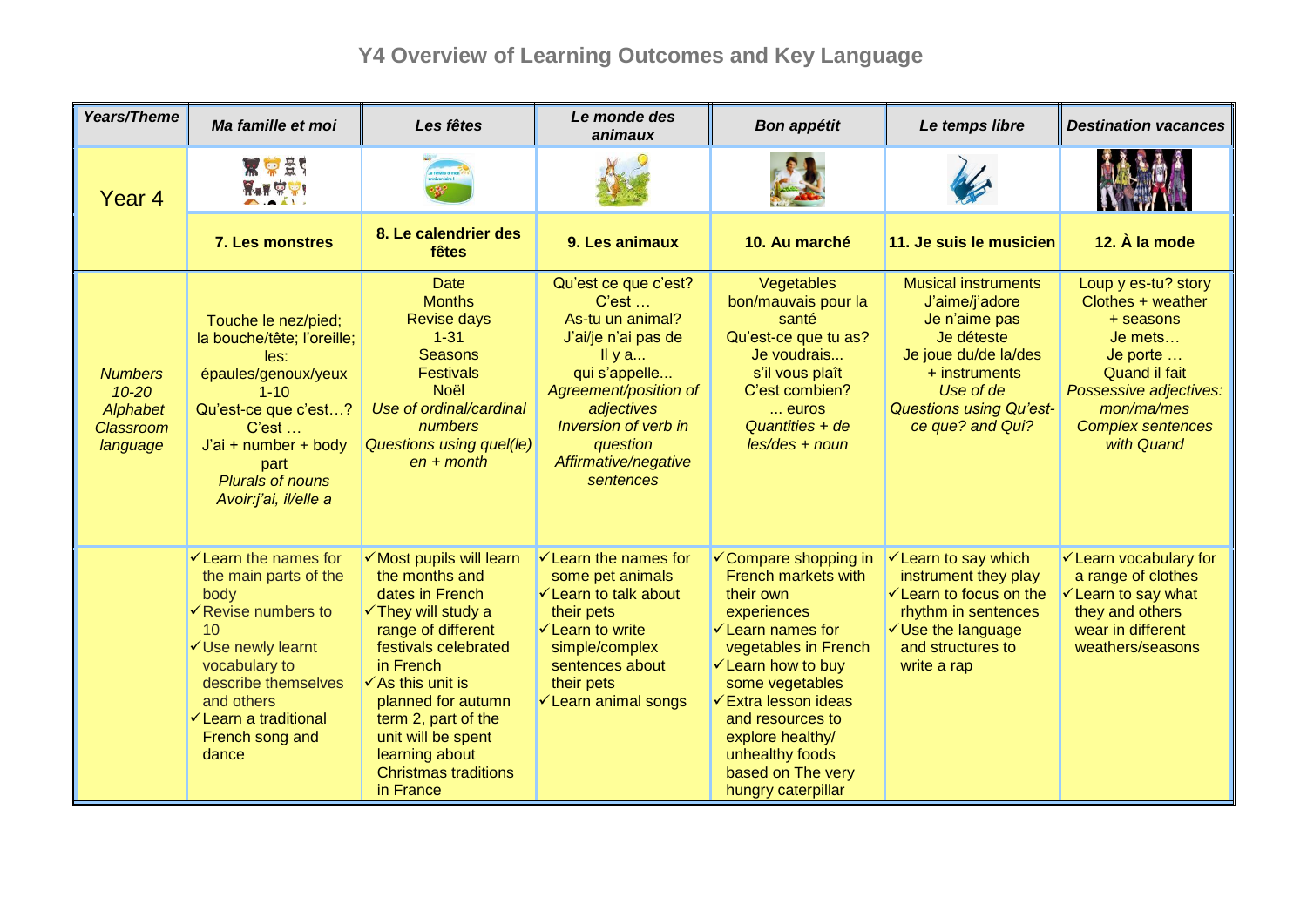## **Y4 Overview of Learning Outcomes and Key Language**

| <b>Years/Theme</b>                                                      | Ma famille et moi                                                                                                                                                                                                                                    | Les fêtes                                                                                                                                                                                                                                                                                                                   | Le monde des<br>animaux                                                                                                                                                                                                     | <b>Bon appétit</b>                                                                                                                                                                                                                                                                                                                          | Le temps libre                                                                                                                                                                             | <b>Destination vacances</b>                                                                                                                                                       |
|-------------------------------------------------------------------------|------------------------------------------------------------------------------------------------------------------------------------------------------------------------------------------------------------------------------------------------------|-----------------------------------------------------------------------------------------------------------------------------------------------------------------------------------------------------------------------------------------------------------------------------------------------------------------------------|-----------------------------------------------------------------------------------------------------------------------------------------------------------------------------------------------------------------------------|---------------------------------------------------------------------------------------------------------------------------------------------------------------------------------------------------------------------------------------------------------------------------------------------------------------------------------------------|--------------------------------------------------------------------------------------------------------------------------------------------------------------------------------------------|-----------------------------------------------------------------------------------------------------------------------------------------------------------------------------------|
| Year <sub>4</sub>                                                       | <b>X C ES</b><br>$\overline{Y}$ + $\overline{Y}$ $\overline{Y}$ + $\overline{Y}$                                                                                                                                                                     |                                                                                                                                                                                                                                                                                                                             |                                                                                                                                                                                                                             |                                                                                                                                                                                                                                                                                                                                             |                                                                                                                                                                                            |                                                                                                                                                                                   |
|                                                                         | 7. Les monstres                                                                                                                                                                                                                                      | 8. Le calendrier des<br>fêtes                                                                                                                                                                                                                                                                                               | 9. Les animaux                                                                                                                                                                                                              | 10. Au marché                                                                                                                                                                                                                                                                                                                               | 11. Je suis le musicien                                                                                                                                                                    | 12. À la mode                                                                                                                                                                     |
| <b>Numbers</b><br>$10 - 20$<br>Alphabet<br><b>Classroom</b><br>language | Touche le nez/pied;<br>la bouche/tête; l'oreille;<br>les:<br>épaules/genoux/yeux<br>$1 - 10$<br>Qu'est-ce que c'est?<br>C'est<br>J'ai + number + body<br>part<br><b>Plurals of nouns</b><br>Avoir:j'ai, il/elle a                                    | <b>Date</b><br><b>Months</b><br><b>Revise days</b><br>$1 - 31$<br><b>Seasons</b><br><b>Festivals</b><br><b>Noël</b><br>Use of ordinal/cardinal<br>numbers<br><b>Questions using quel(le)</b><br>$en + month$                                                                                                                | Qu'est ce que c'est?<br>C'est<br>As-tu un animal?<br>J'ai/je n'ai pas de<br>IIya<br>qui s'appelle<br>Agreement/position of<br>adjectives<br>Inversion of verb in<br>question<br>Affirmative/negative<br>sentences           | Vegetables<br>bon/mauvais pour la<br>santé<br>Qu'est-ce que tu as?<br>Je voudrais<br>s'il vous plaît<br>C'est combien?<br>euros<br>Quantities + de<br>$les/des + noun$                                                                                                                                                                      | <b>Musical instruments</b><br>J'aime/j'adore<br>Je n'aime pas<br>Je déteste<br>Je joue du/de la/des<br>+ instruments<br>Use of de<br><b>Questions using Qu'est-</b><br>ce que? and Qui?    | Loup y es-tu? story<br>Clothes + weather<br>+ seasons<br>$Je$ mets<br>Je porte<br>Quand il fait<br>Possessive adjectives:<br>mon/ma/mes<br><b>Complex sentences</b><br>with Quand |
|                                                                         | $\checkmark$ Learn the names for<br>the main parts of the<br>body<br>$\checkmark$ Revise numbers to<br>10<br>√Use newly learnt<br>vocabulary to<br>describe themselves<br>and others<br><del>✓</del> Learn a traditional<br>French song and<br>dance | √ Most pupils will learn<br>the months and<br>dates in French<br>$\checkmark$ They will study a<br>range of different<br>festivals celebrated<br>in French<br>$\checkmark$ As this unit is<br>planned for autumn<br>term 2, part of the<br>unit will be spent<br>learning about<br><b>Christmas traditions</b><br>in France | $\checkmark$ Learn the names for<br>some pet animals<br><del>✓</del> Learn to talk about<br>their pets<br>$\checkmark$ Learn to write<br>simple/complex<br>sentences about<br>their pets<br><del>✓</del> Learn animal songs | <del></del> ∕ Compare shopping in<br><b>French markets with</b><br>their own<br>experiences<br>$\checkmark$ Learn names for<br>vegetables in French<br><del></del> ∕ Learn how to buy<br>some vegetables<br><b>Extra lesson ideas</b><br>and resources to<br>explore healthy/<br>unhealthy foods<br>based on The very<br>hungry caterpillar | <del></del> ∕ Learn to say which<br>instrument they play<br>$\checkmark$ Learn to focus on the<br>rhythm in sentences<br>$\checkmark$ Use the language<br>and structures to<br>write a rap | <del>V</del> Learn vocabulary for<br>a range of clothes<br><del></del> ∕ Learn to say what<br>they and others<br>wear in different<br>weathers/seasons                            |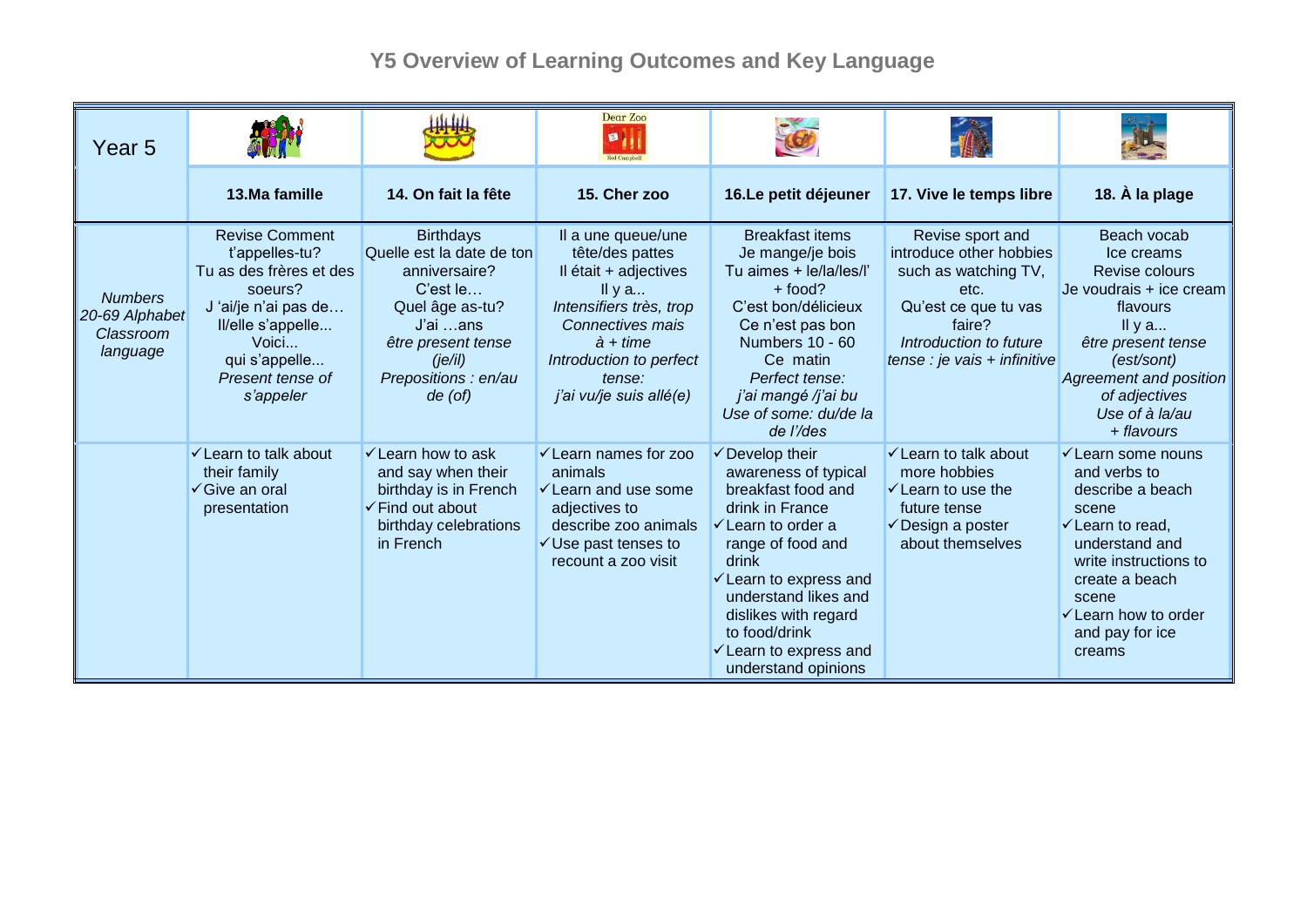## **Y5 Overview of Learning Outcomes and Key Language**

| Year 5                                                    |                                                                                                                                                                                      |                                                                                                                                                                                | Dear Zoo<br>ø                                                                                                                                                                                                 |                                                                                                                                                                                                                                                                                                                              |                                                                                                                                                                         |                                                                                                                                                                                                                                                 |
|-----------------------------------------------------------|--------------------------------------------------------------------------------------------------------------------------------------------------------------------------------------|--------------------------------------------------------------------------------------------------------------------------------------------------------------------------------|---------------------------------------------------------------------------------------------------------------------------------------------------------------------------------------------------------------|------------------------------------------------------------------------------------------------------------------------------------------------------------------------------------------------------------------------------------------------------------------------------------------------------------------------------|-------------------------------------------------------------------------------------------------------------------------------------------------------------------------|-------------------------------------------------------------------------------------------------------------------------------------------------------------------------------------------------------------------------------------------------|
|                                                           | 13.Ma famille                                                                                                                                                                        | 14. On fait la fête                                                                                                                                                            | 15. Cher zoo                                                                                                                                                                                                  | 16.Le petit déjeuner                                                                                                                                                                                                                                                                                                         | 17. Vive le temps libre                                                                                                                                                 | 18. À la plage                                                                                                                                                                                                                                  |
| <b>Numbers</b><br>20-69 Alphabet<br>Classroom<br>language | <b>Revise Comment</b><br>t'appelles-tu?<br>Tu as des frères et des<br>soeurs?<br>J'ai/je n'ai pas de<br>Il/elle s'appelle<br>Voici<br>qui s'appelle<br>Present tense of<br>s'appeler | <b>Birthdays</b><br>Quelle est la date de ton<br>anniversaire?<br>C'est le<br>Quel âge as-tu?<br>J'ai …ans<br>être present tense<br>(ie/il)<br>Prepositions : en/au<br>de (of) | Il a une queue/une<br>tête/des pattes<br>Il était + adjectives<br>Il y $a$<br>Intensifiers très, trop<br>Connectives mais<br>$\dot{a}$ + time<br>Introduction to perfect<br>tense:<br>j'ai vu/je suis allé(e) | <b>Breakfast items</b><br>Je mange/je bois<br>Tu aimes + le/la/les/l'<br>$+$ food?<br>C'est bon/délicieux<br>Ce n'est pas bon<br>Numbers 10 - 60<br>Ce matin<br>Perfect tense:<br>j'ai mangé /j'ai bu<br>Use of some: du/de la<br>de l'/des                                                                                  | Revise sport and<br>introduce other hobbies<br>such as watching TV,<br>etc.<br>Qu'est ce que tu vas<br>faire?<br>Introduction to future<br>tense : je vais + infinitive | Beach vocab<br>Ice creams<br>Revise colours<br>Je voudrais + ice cream<br>flavours<br>Il y $a$<br>être present tense<br>(est/sont)<br><b>Agreement and position</b><br>of adjectives<br>Use of à la/au<br>+ flavours                            |
|                                                           | <del></del> ∕ Learn to talk about<br>their family<br>√ Give an oral<br>presentation                                                                                                  | $\checkmark$ Learn how to ask<br>and say when their<br>birthday is in French<br>$\checkmark$ Find out about<br>birthday celebrations<br>in French                              | <del></del> <del>∠</del> Learn names for zoo<br>animals<br>$\checkmark$ Learn and use some<br>adjectives to<br>describe zoo animals<br>$\checkmark$ Use past tenses to<br>recount a zoo visit                 | $\checkmark$ Develop their<br>awareness of typical<br>breakfast food and<br>drink in France<br>$\checkmark$ Learn to order a<br>range of food and<br>drink<br>$\checkmark$ Learn to express and<br>understand likes and<br>dislikes with regard<br>to food/drink<br>$\checkmark$ Learn to express and<br>understand opinions | $\checkmark$ Learn to talk about<br>more hobbies<br>$\checkmark$ Learn to use the<br>future tense<br>$\checkmark$ Design a poster<br>about themselves                   | $\checkmark$ Learn some nouns<br>and verbs to<br>describe a beach<br>scene<br>$\checkmark$ Learn to read,<br>understand and<br>write instructions to<br>create a beach<br>scene<br>$\checkmark$ Learn how to order<br>and pay for ice<br>creams |